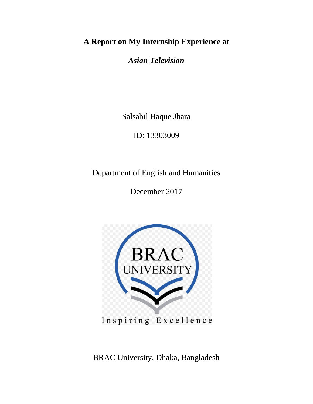# **A Report on My Internship Experience at**

*Asian Television*

Salsabil Haque Jhara

ID: 13303009

Department of English and Humanities

December 2017



Inspiring Excellence

BRAC University, Dhaka, Bangladesh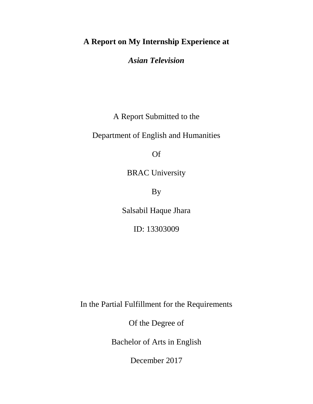## **A Report on My Internship Experience at**

*Asian Television*

A Report Submitted to the

Department of English and Humanities

Of

BRAC University

By

Salsabil Haque Jhara

ID: 13303009

In the Partial Fulfillment for the Requirements

Of the Degree of

Bachelor of Arts in English

December 2017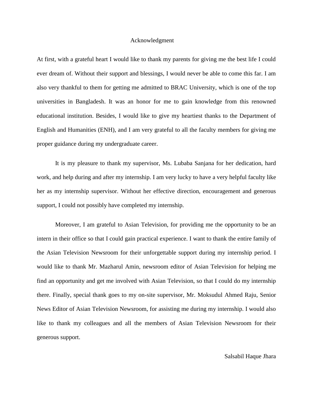#### Acknowledgment

At first, with a grateful heart I would like to thank my parents for giving me the best life I could ever dream of. Without their support and blessings, I would never be able to come this far. I am also very thankful to them for getting me admitted to BRAC University, which is one of the top universities in Bangladesh. It was an honor for me to gain knowledge from this renowned educational institution. Besides, I would like to give my heartiest thanks to the Department of English and Humanities (ENH), and I am very grateful to all the faculty members for giving me proper guidance during my undergraduate career.

It is my pleasure to thank my supervisor, Ms. Lubaba Sanjana for her dedication, hard work, and help during and after my internship. I am very lucky to have a very helpful faculty like her as my internship supervisor. Without her effective direction, encouragement and generous support, I could not possibly have completed my internship.

Moreover, I am grateful to Asian Television, for providing me the opportunity to be an intern in their office so that I could gain practical experience. I want to thank the entire family of the Asian Television Newsroom for their unforgettable support during my internship period. I would like to thank Mr. Mazharul Amin, newsroom editor of Asian Television for helping me find an opportunity and get me involved with Asian Television, so that I could do my internship there. Finally, special thank goes to my on-site supervisor, Mr. Moksudul Ahmed Raju, Senior News Editor of Asian Television Newsroom, for assisting me during my internship. I would also like to thank my colleagues and all the members of Asian Television Newsroom for their generous support.

## Salsabil Haque Jhara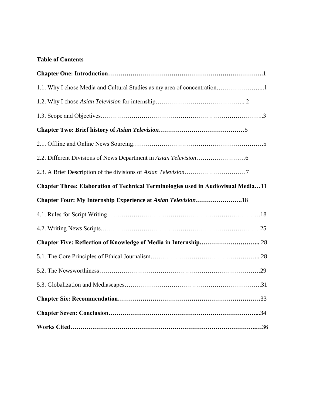## **Table of Contents**

| 1.1. Why I chose Media and Cultural Studies as my area of concentration1          |  |
|-----------------------------------------------------------------------------------|--|
|                                                                                   |  |
|                                                                                   |  |
|                                                                                   |  |
|                                                                                   |  |
|                                                                                   |  |
|                                                                                   |  |
| Chapter Three: Elaboration of Technical Terminologies used in Audiovisual Media11 |  |
|                                                                                   |  |
|                                                                                   |  |
|                                                                                   |  |
|                                                                                   |  |
|                                                                                   |  |
|                                                                                   |  |
|                                                                                   |  |
|                                                                                   |  |
|                                                                                   |  |
|                                                                                   |  |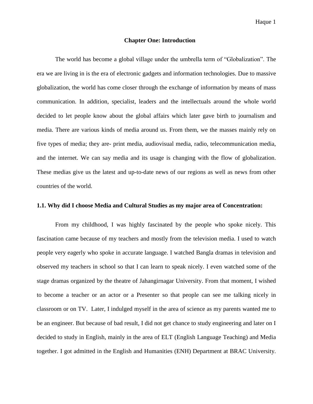#### **Chapter One: Introduction**

The world has become a global village under the umbrella term of "Globalization". The era we are living in is the era of electronic gadgets and information technologies. Due to massive globalization, the world has come closer through the exchange of information by means of mass communication. In addition, specialist, leaders and the intellectuals around the whole world decided to let people know about the global affairs which later gave birth to journalism and media. There are various kinds of media around us. From them, we the masses mainly rely on five types of media; they are- print media, audiovisual media, radio, telecommunication media, and the internet. We can say media and its usage is changing with the flow of globalization. These medias give us the latest and up-to-date news of our regions as well as news from other countries of the world.

## **1.1. Why did I choose Media and Cultural Studies as my major area of Concentration:**

From my childhood, I was highly fascinated by the people who spoke nicely. This fascination came because of my teachers and mostly from the television media. I used to watch people very eagerly who spoke in accurate language. I watched Bangla dramas in television and observed my teachers in school so that I can learn to speak nicely. I even watched some of the stage dramas organized by the theatre of Jahangirnagar University. From that moment, I wished to become a teacher or an actor or a Presenter so that people can see me talking nicely in classroom or on TV. Later, I indulged myself in the area of science as my parents wanted me to be an engineer. But because of bad result, I did not get chance to study engineering and later on I decided to study in English, mainly in the area of ELT (English Language Teaching) and Media together. I got admitted in the English and Humanities (ENH) Department at BRAC University.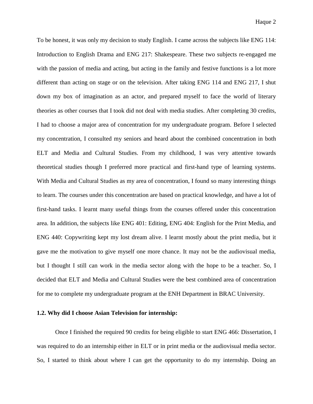To be honest, it was only my decision to study English. I came across the subjects like ENG 114: Introduction to English Drama and ENG 217: Shakespeare. These two subjects re-engaged me with the passion of media and acting, but acting in the family and festive functions is a lot more different than acting on stage or on the television. After taking ENG 114 and ENG 217, I shut down my box of imagination as an actor, and prepared myself to face the world of literary theories as other courses that I took did not deal with media studies. After completing 30 credits, I had to choose a major area of concentration for my undergraduate program. Before I selected my concentration, I consulted my seniors and heard about the combined concentration in both ELT and Media and Cultural Studies. From my childhood, I was very attentive towards theoretical studies though I preferred more practical and first-hand type of learning systems. With Media and Cultural Studies as my area of concentration, I found so many interesting things to learn. The courses under this concentration are based on practical knowledge, and have a lot of first-hand tasks. I learnt many useful things from the courses offered under this concentration area. In addition, the subjects like ENG 401: Editing, ENG 404: English for the Print Media, and ENG 440: Copywriting kept my lost dream alive. I learnt mostly about the print media, but it gave me the motivation to give myself one more chance. It may not be the audiovisual media, but I thought I still can work in the media sector along with the hope to be a teacher. So, I decided that ELT and Media and Cultural Studies were the best combined area of concentration for me to complete my undergraduate program at the ENH Department in BRAC University.

#### **1.2. Why did I choose Asian Television for internship:**

Once I finished the required 90 credits for being eligible to start ENG 466: Dissertation, I was required to do an internship either in ELT or in print media or the audiovisual media sector. So, I started to think about where I can get the opportunity to do my internship. Doing an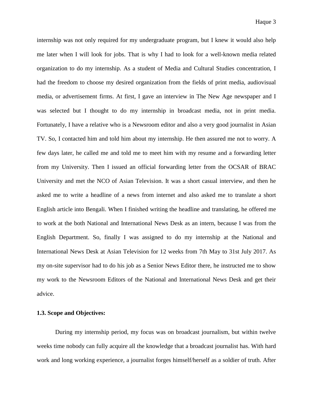internship was not only required for my undergraduate program, but I knew it would also help me later when I will look for jobs. That is why I had to look for a well-known media related organization to do my internship. As a student of Media and Cultural Studies concentration, I had the freedom to choose my desired organization from the fields of print media, audiovisual media, or advertisement firms. At first, I gave an interview in The New Age newspaper and I was selected but I thought to do my internship in broadcast media, not in print media. Fortunately, I have a relative who is a Newsroom editor and also a very good journalist in Asian TV. So, I contacted him and told him about my internship. He then assured me not to worry. A few days later, he called me and told me to meet him with my resume and a forwarding letter from my University. Then I issued an official forwarding letter from the OCSAR of BRAC University and met the NCO of Asian Television. It was a short casual interview, and then he asked me to write a headline of a news from internet and also asked me to translate a short English article into Bengali. When I finished writing the headline and translating, he offered me to work at the both National and International News Desk as an intern, because I was from the English Department. So, finally I was assigned to do my internship at the National and International News Desk at Asian Television for 12 weeks from 7th May to 31st July 2017. As my on-site supervisor had to do his job as a Senior News Editor there, he instructed me to show my work to the Newsroom Editors of the National and International News Desk and get their advice.

#### **1.3. Scope and Objectives:**

During my internship period, my focus was on broadcast journalism, but within twelve weeks time nobody can fully acquire all the knowledge that a broadcast journalist has. With hard work and long working experience, a journalist forges himself/herself as a soldier of truth. After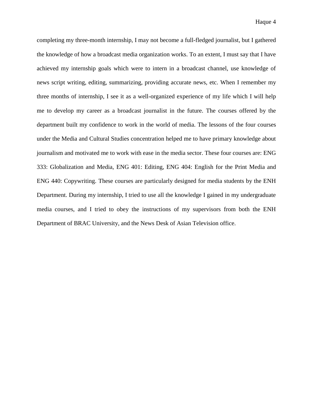completing my three-month internship, I may not become a full-fledged journalist, but I gathered the knowledge of how a broadcast media organization works. To an extent, I must say that I have achieved my internship goals which were to intern in a broadcast channel, use knowledge of news script writing, editing, summarizing, providing accurate news, etc. When I remember my three months of internship, I see it as a well-organized experience of my life which I will help me to develop my career as a broadcast journalist in the future. The courses offered by the department built my confidence to work in the world of media. The lessons of the four courses under the Media and Cultural Studies concentration helped me to have primary knowledge about journalism and motivated me to work with ease in the media sector. These four courses are: ENG 333: Globalization and Media, ENG 401: Editing, ENG 404: English for the Print Media and ENG 440: Copywriting. These courses are particularly designed for media students by the ENH Department. During my internship, I tried to use all the knowledge I gained in my undergraduate media courses, and I tried to obey the instructions of my supervisors from both the ENH Department of BRAC University, and the News Desk of Asian Television office.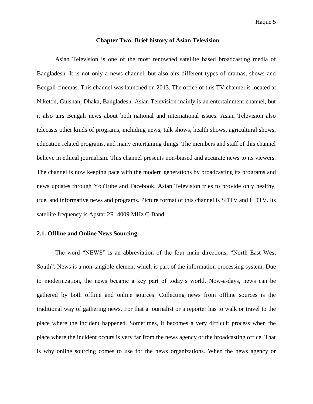#### **Chapter Two: Brief history of Asian Television**

Asian Television is one of the most renowned satellite based broadcasting media of Bangladesh. It is not only a news channel, but also airs different types of dramas, shows and Bengali cinemas. This channel was launched on 2013. The office of this TV channel is located at Niketon, Gulshan, Dhaka, Bangladesh. Asian Television mainly is an entertainment channel, but it also airs Bengali news about both national and international issues. Asian Television also telecasts other kinds of programs, including news, talk shows, health shows, agricultural shows, education related programs, and many entertaining things. The members and staff of this channel believe in ethical journalism. This channel presents non-biased and accurate news to its viewers. The channel is now keeping pace with the modern generations by broadcasting its programs and news updates through YouTube and Facebook. Asian Television tries to provide only healthy, true, and informative news and programs. Picture format of this channel is SDTV and HDTV. Its satellite frequency is Apstar 2R, 4009 MHz C-Band.

## **2.1. Offline and Online News Sourcing:**

The word "NEWS" is an abbreviation of the four main directions, "North East West South". News is a non-tangible element which is part of the information processing system. Due to modernization, the news became a key part of today"s world. Now-a-days, news can be gathered by both offline and online sources. Collecting news from offline sources is the traditional way of gathering news. For that a journalist or a reporter has to walk or travel to the place where the incident happened. Sometimes, it becomes a very difficult process when the place where the incident occurs is very far from the news agency or the broadcasting office. That is why online sourcing comes to use for the news organizations. When the news agency or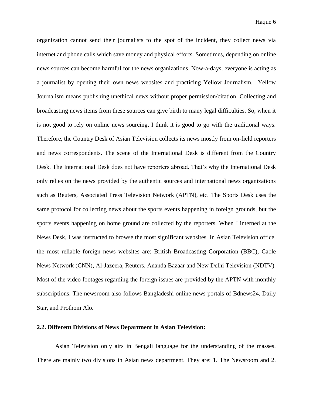organization cannot send their journalists to the spot of the incident, they collect news via internet and phone calls which save money and physical efforts. Sometimes, depending on online news sources can become harmful for the news organizations. Now-a-days, everyone is acting as a journalist by opening their own news websites and practicing Yellow Journalism. Yellow Journalism means publishing unethical news without proper permission/citation. Collecting and broadcasting news items from these sources can give birth to many legal difficulties. So, when it is not good to rely on online news sourcing, I think it is good to go with the traditional ways. Therefore, the Country Desk of Asian Television collects its news mostly from on-field reporters and news correspondents. The scene of the International Desk is different from the Country Desk. The International Desk does not have reporters abroad. That"s why the International Desk only relies on the news provided by the authentic sources and international news organizations such as Reuters, Associated Press Television Network (APTN), etc. The Sports Desk uses the same protocol for collecting news about the sports events happening in foreign grounds, but the sports events happening on home ground are collected by the reporters. When I interned at the News Desk, I was instructed to browse the most significant websites. In Asian Television office, the most reliable foreign news websites are: British Broadcasting Corporation (BBC), Cable News Network (CNN), Al-Jazeera, Reuters, Ananda Bazaar and New Delhi Television (NDTV). Most of the video footages regarding the foreign issues are provided by the APTN with monthly subscriptions. The newsroom also follows Bangladeshi online news portals of Bdnews24, Daily Star, and Prothom Alo.

#### **2.2. Different Divisions of News Department in Asian Television:**

Asian Television only airs in Bengali language for the understanding of the masses. There are mainly two divisions in Asian news department. They are: 1. The Newsroom and 2.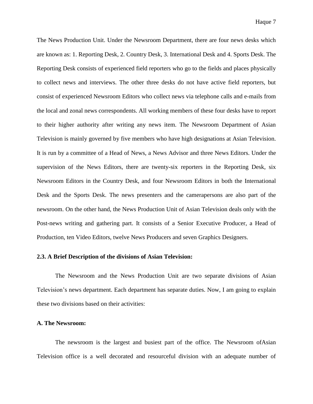The News Production Unit. Under the Newsroom Department, there are four news desks which are known as: 1. Reporting Desk, 2. Country Desk, 3. International Desk and 4. Sports Desk. The Reporting Desk consists of experienced field reporters who go to the fields and places physically to collect news and interviews. The other three desks do not have active field reporters, but consist of experienced Newsroom Editors who collect news via telephone calls and e-mails from the local and zonal news correspondents. All working members of these four desks have to report to their higher authority after writing any news item. The Newsroom Department of Asian Television is mainly governed by five members who have high designations at Asian Television. It is run by a committee of a Head of News, a News Advisor and three News Editors. Under the supervision of the News Editors, there are twenty-six reporters in the Reporting Desk, six Newsroom Editors in the Country Desk, and four Newsroom Editors in both the International Desk and the Sports Desk. The news presenters and the camerapersons are also part of the newsroom. On the other hand, the News Production Unit of Asian Television deals only with the Post-news writing and gathering part. It consists of a Senior Executive Producer, a Head of Production, ten Video Editors, twelve News Producers and seven Graphics Designers.

#### **2.3. A Brief Description of the divisions of Asian Television:**

The Newsroom and the News Production Unit are two separate divisions of Asian Television"s news department. Each department has separate duties. Now, I am going to explain these two divisions based on their activities:

#### **A. The Newsroom:**

The newsroom is the largest and busiest part of the office. The Newsroom ofAsian Television office is a well decorated and resourceful division with an adequate number of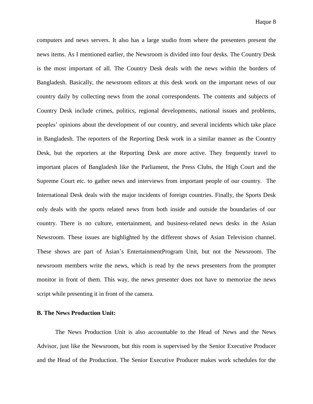computers and news servers. It also has a large studio from where the presenters present the news items. As I mentioned earlier, the Newsroom is divided into four desks. The Country Desk is the most important of all. The Country Desk deals with the news within the borders of Bangladesh. Basically, the newsroom editors at this desk work on the important news of our country daily by collecting news from the zonal correspondents. The contents and subjects of Country Desk include crimes, politics, regional developments, national issues and problems, peoples" opinions about the development of our country, and several incidents which take place in Bangladesh. The reporters of the Reporting Desk work in a similar manner as the Country Desk, but the reporters at the Reporting Desk are more active. They frequently travel to important places of Bangladesh like the Parliament, the Press Clubs, the High Court and the Supreme Court etc. to gather news and interviews from important people of our country. The International Desk deals with the major incidents of foreign countries. Finally, the Sports Desk only deals with the sports related news from both inside and outside the boundaries of our country. There is no culture, entertainment, and business-related news desks in the Asian Newsroom. These issues are highlighted by the different shows of Asian Television channel. These shows are part of Asian"s EntertainmentProgram Unit, but not the Newsroom. The newsroom members write the news, which is read by the news presenters from the prompter monitor in front of them. This way, the news presenter does not have to memorize the news script while presenting it in front of the camera.

#### **B. The News Production Unit:**

The News Production Unit is also accountable to the Head of News and the News Advisor, just like the Newsroom, but this room is supervised by the Senior Executive Producer and the Head of the Production. The Senior Executive Producer makes work schedules for the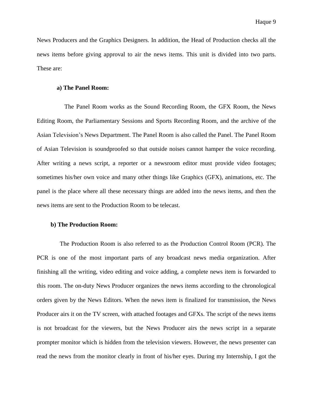News Producers and the Graphics Designers. In addition, the Head of Production checks all the news items before giving approval to air the news items. This unit is divided into two parts. These are:

#### **a) The Panel Room:**

 The Panel Room works as the Sound Recording Room, the GFX Room, the News Editing Room, the Parliamentary Sessions and Sports Recording Room, and the archive of the Asian Television"s News Department. The Panel Room is also called the Panel. The Panel Room of Asian Television is soundproofed so that outside noises cannot hamper the voice recording. After writing a news script, a reporter or a newsroom editor must provide video footages; sometimes his/her own voice and many other things like Graphics (GFX), animations, etc. The panel is the place where all these necessary things are added into the news items, and then the news items are sent to the Production Room to be telecast.

#### **b) The Production Room:**

 The Production Room is also referred to as the Production Control Room (PCR). The PCR is one of the most important parts of any broadcast news media organization. After finishing all the writing, video editing and voice adding, a complete news item is forwarded to this room. The on-duty News Producer organizes the news items according to the chronological orders given by the News Editors. When the news item is finalized for transmission, the News Producer airs it on the TV screen, with attached footages and GFXs. The script of the news items is not broadcast for the viewers, but the News Producer airs the news script in a separate prompter monitor which is hidden from the television viewers. However, the news presenter can read the news from the monitor clearly in front of his/her eyes. During my Internship, I got the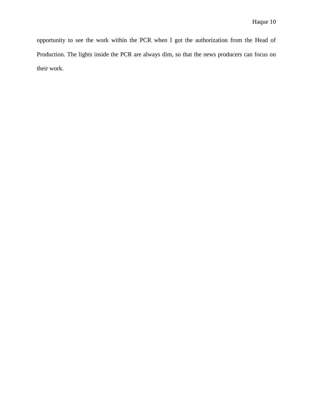opportunity to see the work within the PCR when I got the authorization from the Head of Production. The lights inside the PCR are always dim, so that the news producers can focus on their work.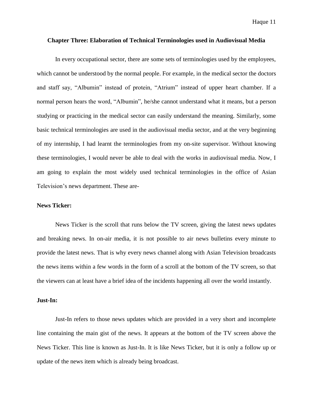#### **Chapter Three: Elaboration of Technical Terminologies used in Audiovisual Media**

In every occupational sector, there are some sets of terminologies used by the employees, which cannot be understood by the normal people. For example, in the medical sector the doctors and staff say, "Albumin" instead of protein, "Atrium" instead of upper heart chamber. If a normal person hears the word, "Albumin", he/she cannot understand what it means, but a person studying or practicing in the medical sector can easily understand the meaning. Similarly, some basic technical terminologies are used in the audiovisual media sector, and at the very beginning of my internship, I had learnt the terminologies from my on-site supervisor. Without knowing these terminologies, I would never be able to deal with the works in audiovisual media. Now, I am going to explain the most widely used technical terminologies in the office of Asian Television"s news department. These are-

#### **News Ticker:**

News Ticker is the scroll that runs below the TV screen, giving the latest news updates and breaking news. In on-air media, it is not possible to air news bulletins every minute to provide the latest news. That is why every news channel along with Asian Television broadcasts the news items within a few words in the form of a scroll at the bottom of the TV screen, so that the viewers can at least have a brief idea of the incidents happening all over the world instantly.

#### **Just-In:**

Just-In refers to those news updates which are provided in a very short and incomplete line containing the main gist of the news. It appears at the bottom of the TV screen above the News Ticker. This line is known as Just-In. It is like News Ticker, but it is only a follow up or update of the news item which is already being broadcast.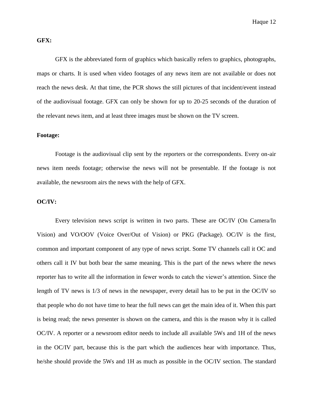## **GFX:**

GFX is the abbreviated form of graphics which basically refers to graphics, photographs, maps or charts. It is used when video footages of any news item are not available or does not reach the news desk. At that time, the PCR shows the still pictures of that incident/event instead of the audiovisual footage. GFX can only be shown for up to 20-25 seconds of the duration of the relevant news item, and at least three images must be shown on the TV screen.

## **Footage:**

Footage is the audiovisual clip sent by the reporters or the correspondents. Every on-air news item needs footage; otherwise the news will not be presentable. If the footage is not available, the newsroom airs the news with the help of GFX.

#### **OC/IV:**

Every television news script is written in two parts. These are OC/IV (On Camera/In Vision) and VO/OOV (Voice Over/Out of Vision) or PKG (Package). OC/IV is the first, common and important component of any type of news script. Some TV channels call it OC and others call it IV but both bear the same meaning. This is the part of the news where the news reporter has to write all the information in fewer words to catch the viewer"s attention. Since the length of TV news is 1/3 of news in the newspaper, every detail has to be put in the OC/IV so that people who do not have time to hear the full news can get the main idea of it. When this part is being read; the news presenter is shown on the camera, and this is the reason why it is called OC/IV. A reporter or a newsroom editor needs to include all available 5Ws and 1H of the news in the OC/IV part, because this is the part which the audiences hear with importance. Thus, he/she should provide the 5Ws and 1H as much as possible in the OC/IV section. The standard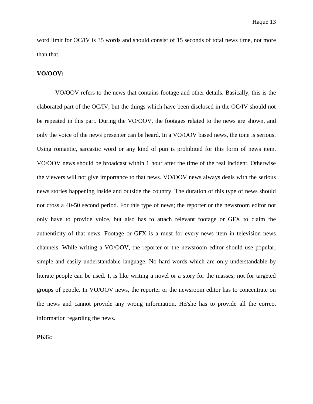word limit for OC/IV is 35 words and should consist of 15 seconds of total news time, not more than that.

## **VO/OOV:**

VO/OOV refers to the news that contains footage and other details. Basically, this is the elaborated part of the OC/IV, but the things which have been disclosed in the OC/IV should not be repeated in this part. During the VO/OOV, the footages related to the news are shown, and only the voice of the news presenter can be heard. In a VO/OOV based news, the tone is serious. Using romantic, sarcastic word or any kind of pun is prohibited for this form of news item. VO/OOV news should be broadcast within 1 hour after the time of the real incident. Otherwise the viewers will not give importance to that news. VO/OOV news always deals with the serious news stories happening inside and outside the country. The duration of this type of news should not cross a 40-50 second period. For this type of news; the reporter or the newsroom editor not only have to provide voice, but also has to attach relevant footage or GFX to claim the authenticity of that news. Footage or GFX is a must for every news item in television news channels. While writing a VO/OOV, the reporter or the newsroom editor should use popular, simple and easily understandable language. No hard words which are only understandable by literate people can be used. It is like writing a novel or a story for the masses; not for targeted groups of people. In VO/OOV news, the reporter or the newsroom editor has to concentrate on the news and cannot provide any wrong information. He/she has to provide all the correct information regarding the news.

## **PKG:**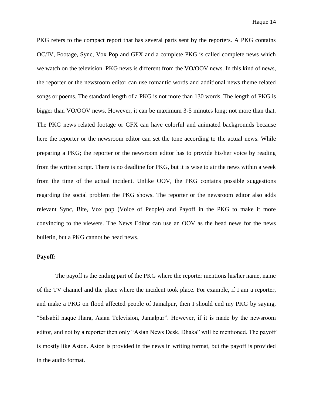PKG refers to the compact report that has several parts sent by the reporters. A PKG contains OC/IV, Footage, Sync, Vox Pop and GFX and a complete PKG is called complete news which we watch on the television. PKG news is different from the VO/OOV news. In this kind of news, the reporter or the newsroom editor can use romantic words and additional news theme related songs or poems. The standard length of a PKG is not more than 130 words. The length of PKG is bigger than VO/OOV news. However, it can be maximum 3-5 minutes long; not more than that. The PKG news related footage or GFX can have colorful and animated backgrounds because here the reporter or the newsroom editor can set the tone according to the actual news. While preparing a PKG; the reporter or the newsroom editor has to provide his/her voice by reading from the written script. There is no deadline for PKG, but it is wise to air the news within a week from the time of the actual incident. Unlike OOV, the PKG contains possible suggestions regarding the social problem the PKG shows. The reporter or the newsroom editor also adds relevant Sync, Bite, Vox pop (Voice of People) and Payoff in the PKG to make it more convincing to the viewers. The News Editor can use an OOV as the head news for the news bulletin, but a PKG cannot be head news.

### **Payoff:**

The payoff is the ending part of the PKG where the reporter mentions his/her name, name of the TV channel and the place where the incident took place. For example, if I am a reporter, and make a PKG on flood affected people of Jamalpur, then I should end my PKG by saying, "Salsabil haque Jhara, Asian Television, Jamalpur". However, if it is made by the newsroom editor, and not by a reporter then only "Asian News Desk, Dhaka" will be mentioned. The payoff is mostly like Aston. Aston is provided in the news in writing format, but the payoff is provided in the audio format.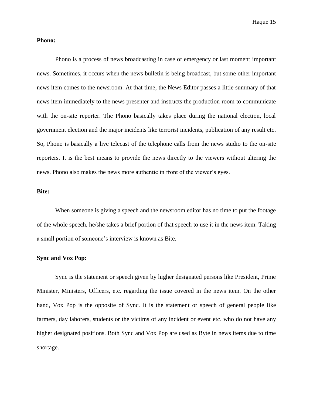#### **Phono:**

Phono is a process of news broadcasting in case of emergency or last moment important news. Sometimes, it occurs when the news bulletin is being broadcast, but some other important news item comes to the newsroom. At that time, the News Editor passes a little summary of that news item immediately to the news presenter and instructs the production room to communicate with the on-site reporter. The Phono basically takes place during the national election, local government election and the major incidents like terrorist incidents, publication of any result etc. So, Phono is basically a live telecast of the telephone calls from the news studio to the on-site reporters. It is the best means to provide the news directly to the viewers without altering the news. Phono also makes the news more authentic in front of the viewer"s eyes.

## **Bite:**

When someone is giving a speech and the newsroom editor has no time to put the footage of the whole speech, he/she takes a brief portion of that speech to use it in the news item. Taking a small portion of someone's interview is known as Bite.

#### **Sync and Vox Pop:**

Sync is the statement or speech given by higher designated persons like President, Prime Minister, Ministers, Officers, etc. regarding the issue covered in the news item. On the other hand, Vox Pop is the opposite of Sync. It is the statement or speech of general people like farmers, day laborers, students or the victims of any incident or event etc. who do not have any higher designated positions. Both Sync and Vox Pop are used as Byte in news items due to time shortage.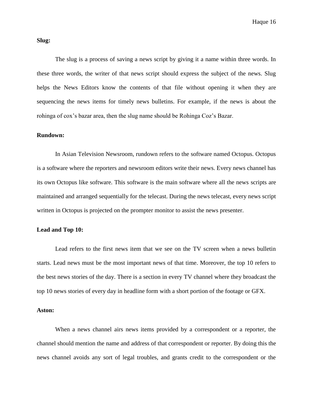Haque 16

#### **Slug:**

The slug is a process of saving a news script by giving it a name within three words. In these three words, the writer of that news script should express the subject of the news. Slug helps the News Editors know the contents of that file without opening it when they are sequencing the news items for timely news bulletins. For example, if the news is about the rohinga of cox"s bazar area, then the slug name should be Rohinga Coz"s Bazar.

## **Rundown:**

In Asian Television Newsroom, rundown refers to the software named Octopus. Octopus is a software where the reporters and newsroom editors write their news. Every news channel has its own Octopus like software. This software is the main software where all the news scripts are maintained and arranged sequentially for the telecast. During the news telecast, every news script written in Octopus is projected on the prompter monitor to assist the news presenter.

#### **Lead and Top 10:**

Lead refers to the first news item that we see on the TV screen when a news bulletin starts. Lead news must be the most important news of that time. Moreover, the top 10 refers to the best news stories of the day. There is a section in every TV channel where they broadcast the top 10 news stories of every day in headline form with a short portion of the footage or GFX.

#### **Aston:**

When a news channel airs news items provided by a correspondent or a reporter, the channel should mention the name and address of that correspondent or reporter. By doing this the news channel avoids any sort of legal troubles, and grants credit to the correspondent or the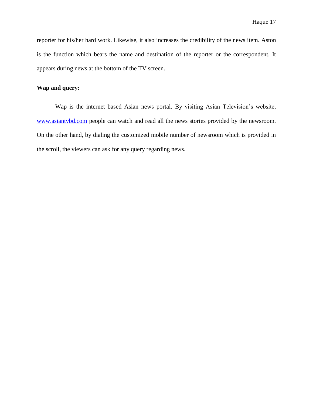reporter for his/her hard work. Likewise, it also increases the credibility of the news item. Aston is the function which bears the name and destination of the reporter or the correspondent. It appears during news at the bottom of the TV screen.

## **Wap and query:**

Wap is the internet based Asian news portal. By visiting Asian Television"s website, [www.asiantvbd.com](http://www.asiantvbd.com/) people can watch and read all the news stories provided by the newsroom. On the other hand, by dialing the customized mobile number of newsroom which is provided in the scroll, the viewers can ask for any query regarding news.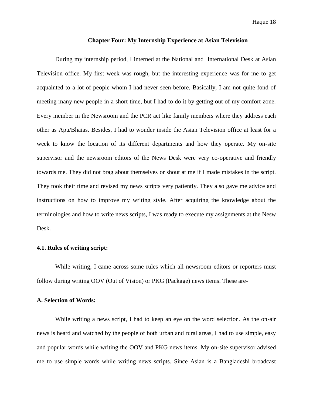#### **Chapter Four: My Internship Experience at Asian Television**

During my internship period, I interned at the National and International Desk at Asian Television office. My first week was rough, but the interesting experience was for me to get acquainted to a lot of people whom I had never seen before. Basically, I am not quite fond of meeting many new people in a short time, but I had to do it by getting out of my comfort zone. Every member in the Newsroom and the PCR act like family members where they address each other as Apu/Bhaias. Besides, I had to wonder inside the Asian Television office at least for a week to know the location of its different departments and how they operate. My on-site supervisor and the newsroom editors of the News Desk were very co-operative and friendly towards me. They did not brag about themselves or shout at me if I made mistakes in the script. They took their time and revised my news scripts very patiently. They also gave me advice and instructions on how to improve my writing style. After acquiring the knowledge about the terminologies and how to write news scripts, I was ready to execute my assignments at the Nesw Desk.

#### **4.1. Rules of writing script:**

While writing, I came across some rules which all newsroom editors or reporters must follow during writing OOV (Out of Vision) or PKG (Package) news items. These are-

## **A. Selection of Words:**

While writing a news script, I had to keep an eye on the word selection. As the on-air news is heard and watched by the people of both urban and rural areas, I had to use simple, easy and popular words while writing the OOV and PKG news items. My on-site supervisor advised me to use simple words while writing news scripts. Since Asian is a Bangladeshi broadcast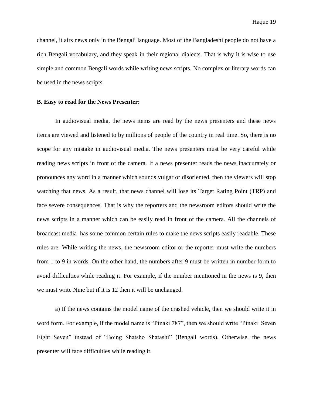channel, it airs news only in the Bengali language. Most of the Bangladeshi people do not have a rich Bengali vocabulary, and they speak in their regional dialects. That is why it is wise to use simple and common Bengali words while writing news scripts. No complex or literary words can be used in the news scripts.

#### **B. Easy to read for the News Presenter:**

In audiovisual media, the news items are read by the news presenters and these news items are viewed and listened to by millions of people of the country in real time. So, there is no scope for any mistake in audiovisual media. The news presenters must be very careful while reading news scripts in front of the camera. If a news presenter reads the news inaccurately or pronounces any word in a manner which sounds vulgar or disoriented, then the viewers will stop watching that news. As a result, that news channel will lose its Target Rating Point (TRP) and face severe consequences. That is why the reporters and the newsroom editors should write the news scripts in a manner which can be easily read in front of the camera. All the channels of broadcast media has some common certain rules to make the news scripts easily readable. These rules are: While writing the news, the newsroom editor or the reporter must write the numbers from 1 to 9 in words. On the other hand, the numbers after 9 must be written in number form to avoid difficulties while reading it. For example, if the number mentioned in the news is 9, then we must write Nine but if it is 12 then it will be unchanged.

a) If the news contains the model name of the crashed vehicle, then we should write it in word form. For example, if the model name is "Pinaki 787", then we should write "Pinaki Seven Eight Seven" instead of "Boing Shatsho Shatashi" (Bengali words). Otherwise, the news presenter will face difficulties while reading it.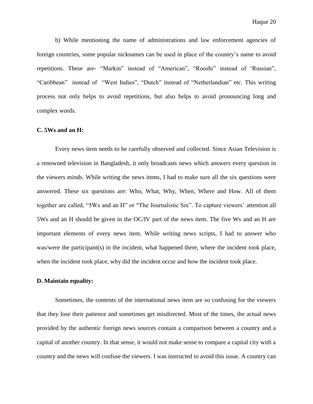b) While mentioning the name of administrations and law enforcement agencies of foreign countries, some popular nicknames can be used in place of the country"s name to avoid repetitions. These are- "Markin" instead of "American", "Rooshi" instead of "Russian", "Caribbean" instead of "West Indies", "Dutch" instead of "Netherlandian" etc. This writing process not only helps to avoid repetitions, but also helps to avoid pronouncing long and complex words.

#### **C. 5Ws and an H:**

Every news item needs to be carefully observed and collected. Since Asian Television is a renowned television in Bangladesh, it only broadcasts news which answers every question in the viewers minds. While writing the news items, I had to make sure all the six questions were answered. These six questions are: Who, What, Why, When, Where and How. All of them together are called, "5Ws and an H" or "The Journalistic Six". To capture viewers" attention all 5Ws and an H should be given in the OC/IV part of the news item. The five Ws and an H are important elements of every news item. While writing news scripts, I had to answer who was/were the participant(s) in the incident, what happened there, where the incident took place, when the incident took place, why did the incident occur and how the incident took place.

#### **D. Maintain equality:**

Sometimes, the contents of the international news item are so confusing for the viewers that they lose their patience and sometimes get misdirected. Most of the times, the actual news provided by the authentic foreign news sources contain a comparison between a country and a capital of another country. In that sense, it would not make sense to compare a capital city with a country and the news will confuse the viewers. I was instructed to avoid this issue. A country can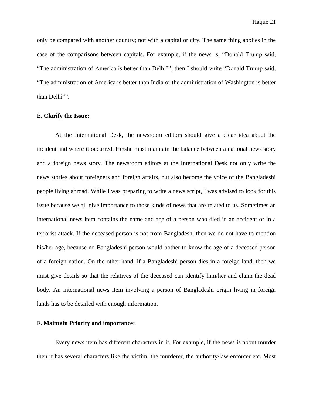only be compared with another country; not with a capital or city. The same thing applies in the case of the comparisons between capitals. For example, if the news is, "Donald Trump said, "The administration of America is better than Delhi"", then I should write "Donald Trump said, "The administration of America is better than India or the administration of Washington is better than Delhi"".

#### **E. Clarify the Issue:**

At the International Desk, the newsroom editors should give a clear idea about the incident and where it occurred. He/she must maintain the balance between a national news story and a foreign news story. The newsroom editors at the International Desk not only write the news stories about foreigners and foreign affairs, but also become the voice of the Bangladeshi people living abroad. While I was preparing to write a news script, I was advised to look for this issue because we all give importance to those kinds of news that are related to us. Sometimes an international news item contains the name and age of a person who died in an accident or in a terrorist attack. If the deceased person is not from Bangladesh, then we do not have to mention his/her age, because no Bangladeshi person would bother to know the age of a deceased person of a foreign nation. On the other hand, if a Bangladeshi person dies in a foreign land, then we must give details so that the relatives of the deceased can identify him/her and claim the dead body. An international news item involving a person of Bangladeshi origin living in foreign lands has to be detailed with enough information.

#### **F. Maintain Priority and importance:**

Every news item has different characters in it. For example, if the news is about murder then it has several characters like the victim, the murderer, the authority/law enforcer etc. Most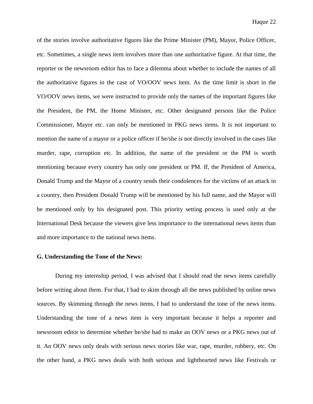of the stories involve authoritative figures like the Prime Minister (PM), Mayor, Police Officer, etc. Sometimes, a single news item involves more than one authoritative figure. At that time, the reporter or the newsroom editor has to face a dilemma about whether to include the names of all the authoritative figures in the case of VO/OOV news item. As the time limit is short in the VO/OOV news items, we were instructed to provide only the names of the important figures like the President, the PM, the Home Minister, etc. Other designated persons like the Police Commissioner, Mayor etc. can only be mentioned in PKG news items. It is not important to mention the name of a mayor or a police officer if he/she is not directly involved in the cases like murder, rape, corruption etc. In addition, the name of the president or the PM is worth mentioning because every country has only one president or PM. If, the President of America, Donald Trump and the Mayor of a country sends their condolences for the victims of an attack in a country, then President Donald Trump will be mentioned by his full name, and the Mayor will be mentioned only by his designated post. This priority setting process is used only at the International Desk because the viewers give less importance to the international news items than and more importance to the national news items.

#### **G. Understanding the Tone of the News:**

During my internship period, I was advised that I should read the news items carefully before writing about them. For that, I had to skim through all the news published by online news sources. By skimming through the news items, I had to understand the tone of the news items. Understanding the tone of a news item is very important because it helps a reporter and newsroom editor to determine whether he/she had to make an OOV news or a PKG news out of it. An OOV news only deals with serious news stories like war, rape, murder, robbery, etc. On the other hand, a PKG news deals with both serious and lighthearted news like Festivals or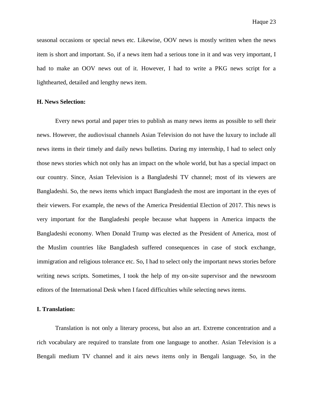seasonal occasions or special news etc. Likewise, OOV news is mostly written when the news item is short and important. So, if a news item had a serious tone in it and was very important, I had to make an OOV news out of it. However, I had to write a PKG news script for a lighthearted, detailed and lengthy news item.

#### **H. News Selection:**

Every news portal and paper tries to publish as many news items as possible to sell their news. However, the audiovisual channels Asian Television do not have the luxury to include all news items in their timely and daily news bulletins. During my internship, I had to select only those news stories which not only has an impact on the whole world, but has a special impact on our country. Since, Asian Television is a Bangladeshi TV channel; most of its viewers are Bangladeshi. So, the news items which impact Bangladesh the most are important in the eyes of their viewers. For example, the news of the America Presidential Election of 2017. This news is very important for the Bangladeshi people because what happens in America impacts the Bangladeshi economy. When Donald Trump was elected as the President of America, most of the Muslim countries like Bangladesh suffered consequences in case of stock exchange, immigration and religious tolerance etc. So, I had to select only the important news stories before writing news scripts. Sometimes, I took the help of my on-site supervisor and the newsroom editors of the International Desk when I faced difficulties while selecting news items.

## **I. Translation:**

Translation is not only a literary process, but also an art. Extreme concentration and a rich vocabulary are required to translate from one language to another. Asian Television is a Bengali medium TV channel and it airs news items only in Bengali language. So, in the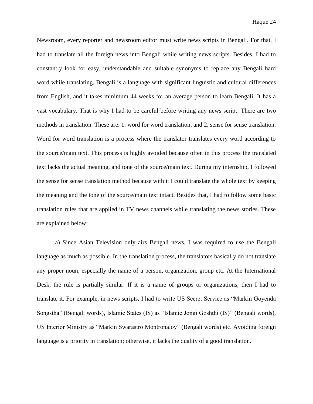Newsroom, every reporter and newsroom editor must write news scripts in Bengali. For that, I had to translate all the foreign news into Bengali while writing news scripts. Besides, I had to constantly look for easy, understandable and suitable synonyms to replace any Bengali hard word while translating. Bengali is a language with significant linguistic and cultural differences from English, and it takes minimum 44 weeks for an average person to learn Bengali. It has a vast vocabulary. That is why I had to be careful before writing any news script. There are two methods in translation. These are: 1. word for word translation, and 2. sense for sense translation. Word for word translation is a process where the translator translates every word according to the source/main text. This process is highly avoided because often in this process the translated text lacks the actual meaning, and tone of the source/main text. During my internship, I followed the sense for sense translation method because with it I could translate the whole text by keeping the meaning and the tone of the source/main text intact. Besides that, I had to follow some basic translation rules that are applied in TV news channels while translating the news stories. These are explained below:

a) Since Asian Television only airs Bengali news, I was required to use the Bengali language as much as possible. In the translation process, the translators basically do not translate any proper noun, especially the name of a person, organization, group etc. At the International Desk, the rule is partially similar. If it is a name of groups or organizations, then I had to translate it. For example, in news scripts, I had to write US Secret Service as "Markin Goyenda Songstha" (Bengali words), Islamic States (IS) as "Islamic Jongi Goshthi (IS)" (Bengali words), US Interior Ministry as "Markin Swarastro Montronaloy" (Bengali words) etc. Avoiding foreign language is a priority in translation; otherwise, it lacks the quality of a good translation.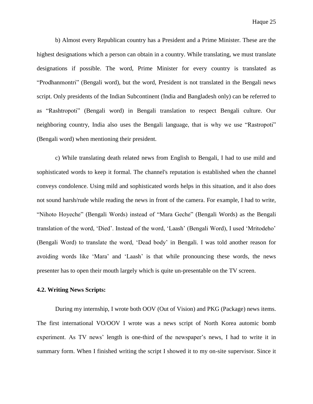b) Almost every Republican country has a President and a Prime Minister. These are the highest designations which a person can obtain in a country. While translating, we must translate designations if possible. The word, Prime Minister for every country is translated as "Prodhanmontri" (Bengali word), but the word, President is not translated in the Bengali news script. Only presidents of the Indian Subcontinent (India and Bangladesh only) can be referred to as "Rashtropoti" (Bengali word) in Bengali translation to respect Bengali culture. Our neighboring country, India also uses the Bengali language, that is why we use "Rastropoti" (Bengali word) when mentioning their president.

c) While translating death related news from English to Bengali, I had to use mild and sophisticated words to keep it formal. The channel's reputation is established when the channel conveys condolence. Using mild and sophisticated words helps in this situation, and it also does not sound harsh/rude while reading the news in front of the camera. For example, I had to write, "Nihoto Hoyeche" (Bengali Words) instead of "Mara Geche" (Bengali Words) as the Bengali translation of the word, "Died". Instead of the word, "Laash" (Bengali Word), I used "Mritodeho" (Bengali Word) to translate the word, "Dead body" in Bengali. I was told another reason for avoiding words like "Mara" and "Laash" is that while pronouncing these words, the news presenter has to open their mouth largely which is quite un-presentable on the TV screen.

#### **4.2. Writing News Scripts:**

During my internship, I wrote both OOV (Out of Vision) and PKG (Package) news items. The first international VO/OOV I wrote was a news script of North Korea automic bomb experiment. As TV news' length is one-third of the newspaper's news, I had to write it in summary form. When I finished writing the script I showed it to my on-site supervisor. Since it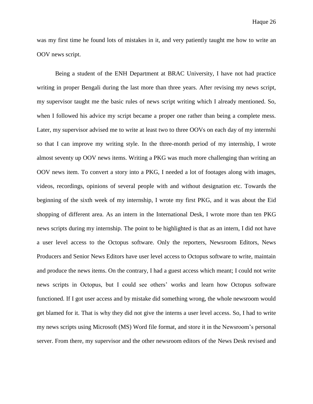was my first time he found lots of mistakes in it, and very patiently taught me how to write an OOV news script.

Being a student of the ENH Department at BRAC University, I have not had practice writing in proper Bengali during the last more than three years. After revising my news script, my supervisor taught me the basic rules of news script writing which I already mentioned. So, when I followed his advice my script became a proper one rather than being a complete mess. Later, my supervisor advised me to write at least two to three OOVs on each day of my internshi so that I can improve my writing style. In the three-month period of my internship, I wrote almost seventy up OOV news items. Writing a PKG was much more challenging than writing an OOV news item. To convert a story into a PKG, I needed a lot of footages along with images, videos, recordings, opinions of several people with and without designation etc. Towards the beginning of the sixth week of my internship, I wrote my first PKG, and it was about the Eid shopping of different area. As an intern in the International Desk, I wrote more than ten PKG news scripts during my internship. The point to be highlighted is that as an intern, I did not have a user level access to the Octopus software. Only the reporters, Newsroom Editors, News Producers and Senior News Editors have user level access to Octopus software to write, maintain and produce the news items. On the contrary, I had a guest access which meant; I could not write news scripts in Octopus, but I could see others" works and learn how Octopus software functioned. If I got user access and by mistake did something wrong, the whole newsroom would get blamed for it. That is why they did not give the interns a user level access. So, I had to write my news scripts using Microsoft (MS) Word file format, and store it in the Newsroom"s personal server. From there, my supervisor and the other newsroom editors of the News Desk revised and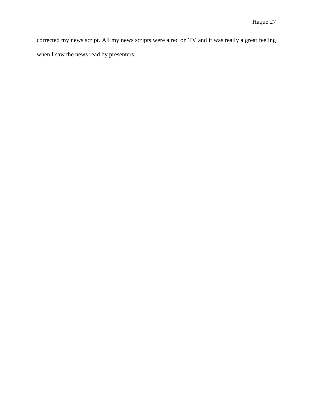corrected my news script. All my news scripts were aired on TV and it was really a great feeling when I saw the news read by presenters.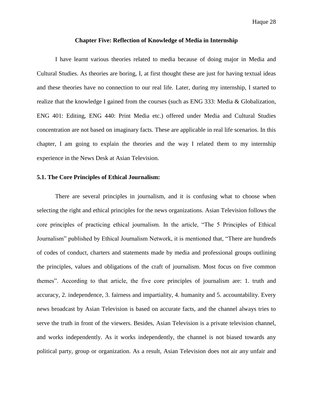#### **Chapter Five: Reflection of Knowledge of Media in Internship**

I have learnt various theories related to media because of doing major in Media and Cultural Studies. As theories are boring, I, at first thought these are just for having textual ideas and these theories have no connection to our real life. Later, during my internship, I started to realize that the knowledge I gained from the courses (such as ENG 333: Media & Globalization, ENG 401: Editing, ENG 440: Print Media etc.) offered under Media and Cultural Studies concentration are not based on imaginary facts. These are applicable in real life scenarios. In this chapter, I am going to explain the theories and the way I related them to my internship experience in the News Desk at Asian Television.

## **5.1. The Core Principles of Ethical Journalism:**

There are several principles in journalism, and it is confusing what to choose when selecting the right and ethical principles for the news organizations. Asian Television follows the core principles of practicing ethical journalism. In the article, "The 5 Principles of Ethical Journalism" published by Ethical Journalism Network, it is mentioned that, "There are hundreds of codes of conduct, charters and statements made by media and professional groups outlining the principles, values and obligations of the craft of journalism. Most focus on five common themes". According to that article, the five core principles of journalism are: 1. truth and accuracy, 2. independence, 3. fairness and impartiality, 4. humanity and 5. accountability. Every news broadcast by Asian Television is based on accurate facts, and the channel always tries to serve the truth in front of the viewers. Besides, Asian Television is a private television channel, and works independently. As it works independently, the channel is not biased towards any political party, group or organization. As a result, Asian Television does not air any unfair and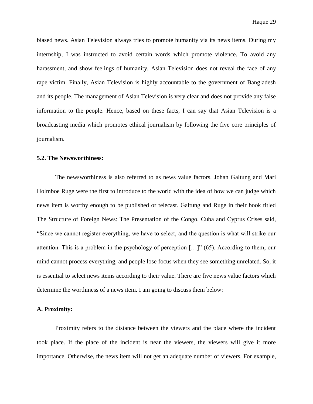biased news. Asian Television always tries to promote humanity via its news items. During my internship, I was instructed to avoid certain words which promote violence. To avoid any harassment, and show feelings of humanity, Asian Television does not reveal the face of any rape victim. Finally, Asian Television is highly accountable to the government of Bangladesh and its people. The management of Asian Television is very clear and does not provide any false information to the people. Hence, based on these facts, I can say that Asian Television is a broadcasting media which promotes ethical journalism by following the five core principles of journalism.

#### **5.2. The Newsworthiness:**

The newsworthiness is also referred to as news value factors. Johan Galtung and Mari Holmboe Ruge were the first to introduce to the world with the idea of how we can judge which news item is worthy enough to be published or telecast. Galtung and Ruge in their book titled The Structure of Foreign News: The Presentation of the Congo, Cuba and Cyprus Crises said, "Since we cannot register everything, we have to select, and the question is what will strike our attention. This is a problem in the psychology of perception […]" (65). According to them, our mind cannot process everything, and people lose focus when they see something unrelated. So, it is essential to select news items according to their value. There are five news value factors which determine the worthiness of a news item. I am going to discuss them below:

## **A. Proximity:**

Proximity refers to the distance between the viewers and the place where the incident took place. If the place of the incident is near the viewers, the viewers will give it more importance. Otherwise, the news item will not get an adequate number of viewers. For example,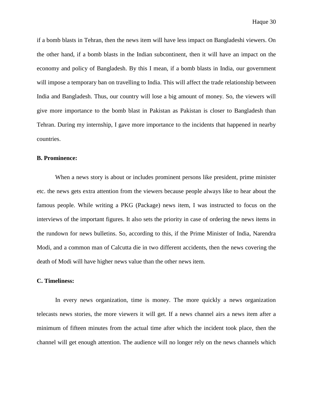if a bomb blasts in Tehran, then the news item will have less impact on Bangladeshi viewers. On the other hand, if a bomb blasts in the Indian subcontinent, then it will have an impact on the economy and policy of Bangladesh. By this I mean, if a bomb blasts in India, our government will impose a temporary ban on travelling to India. This will affect the trade relationship between India and Bangladesh. Thus, our country will lose a big amount of money. So, the viewers will give more importance to the bomb blast in Pakistan as Pakistan is closer to Bangladesh than Tehran. During my internship, I gave more importance to the incidents that happened in nearby countries.

#### **B. Prominence:**

When a news story is about or includes prominent persons like president, prime minister etc. the news gets extra attention from the viewers because people always like to hear about the famous people. While writing a PKG (Package) news item, I was instructed to focus on the interviews of the important figures. It also sets the priority in case of ordering the news items in the rundown for news bulletins. So, according to this, if the Prime Minister of India, Narendra Modi, and a common man of Calcutta die in two different accidents, then the news covering the death of Modi will have higher news value than the other news item.

## **C. Timeliness:**

In every news organization, time is money. The more quickly a news organization telecasts news stories, the more viewers it will get. If a news channel airs a news item after a minimum of fifteen minutes from the actual time after which the incident took place, then the channel will get enough attention. The audience will no longer rely on the news channels which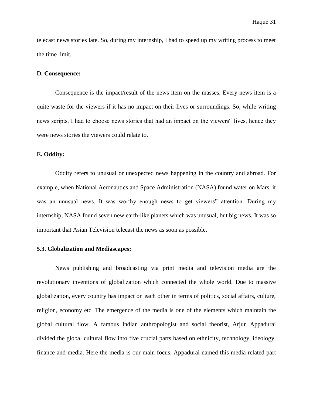telecast news stories late. So, during my internship, I had to speed up my writing process to meet the time limit.

#### **D. Consequence:**

Consequence is the impact/result of the news item on the masses. Every news item is a quite waste for the viewers if it has no impact on their lives or surroundings. So, while writing news scripts, I had to choose news stories that had an impact on the viewers" lives, hence they were news stories the viewers could relate to.

## **E. Oddity:**

Oddity refers to unusual or unexpected news happening in the country and abroad. For example, when National Aeronautics and Space Administration (NASA) found water on Mars, it was an unusual news. It was worthy enough news to get viewers" attention. During my internship, NASA found seven new earth-like planets which was unusual, but big news. It was so important that Asian Television telecast the news as soon as possible.

#### **5.3. Globalization and Mediascapes:**

News publishing and broadcasting via print media and television media are the revolutionary inventions of globalization which connected the whole world. Due to massive globalization, every country has impact on each other in terms of politics, social affairs, culture, religion, economy etc. The emergence of the media is one of the elements which maintain the global cultural flow. A famous Indian anthropologist and social theorist, Arjun Appadurai divided the global cultural flow into five crucial parts based on ethnicity, technology, ideology, finance and media. Here the media is our main focus. Appadurai named this media related part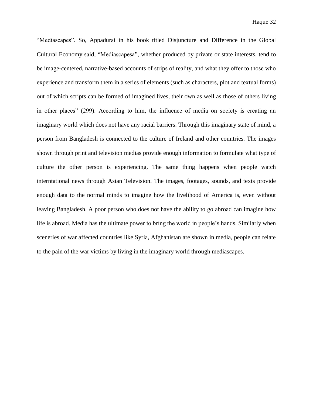"Mediascapes". So, Appadurai in his book titled Disjuncture and Difference in the Global Cultural Economy said, "Mediascapesa", whether produced by private or state interests, tend to be image-centered, narrative-based accounts of strips of reality, and what they offer to those who experience and transform them in a series of elements (such as characters, plot and textual forms) out of which scripts can be formed of imagined lives, their own as well as those of others living in other places" (299). According to him, the influence of media on society is creating an imaginary world which does not have any racial barriers. Through this imaginary state of mind, a person from Bangladesh is connected to the culture of Ireland and other countries. The images shown through print and television medias provide enough information to formulate what type of culture the other person is experiencing. The same thing happens when people watch interntational news through Asian Television. The images, footages, sounds, and texts provide enough data to the normal minds to imagine how the livelihood of America is, even without leaving Bangladesh. A poor person who does not have the ability to go abroad can imagine how life is abroad. Media has the ultimate power to bring the world in people"s hands. Similarly when sceneries of war affected countries like Syria, Afghanistan are shown in media, people can relate to the pain of the war victims by living in the imaginary world through mediascapes.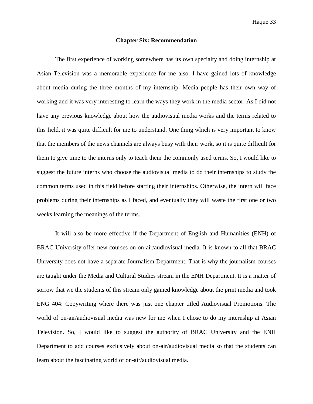#### **Chapter Six: Recommendation**

The first experience of working somewhere has its own specialty and doing internship at Asian Television was a memorable experience for me also. I have gained lots of knowledge about media during the three months of my internship. Media people has their own way of working and it was very interesting to learn the ways they work in the media sector. As I did not have any previous knowledge about how the audiovisual media works and the terms related to this field, it was quite difficult for me to understand. One thing which is very important to know that the members of the news channels are always busy with their work, so it is quite difficult for them to give time to the interns only to teach them the commonly used terms. So, I would like to suggest the future interns who choose the audiovisual media to do their internships to study the common terms used in this field before starting their internships. Otherwise, the intern will face problems during their internships as I faced, and eventually they will waste the first one or two weeks learning the meanings of the terms.

It will also be more effective if the Department of English and Humanities (ENH) of BRAC University offer new courses on on-air/audiovisual media. It is known to all that BRAC University does not have a separate Journalism Department. That is why the journalism courses are taught under the Media and Cultural Studies stream in the ENH Department. It is a matter of sorrow that we the students of this stream only gained knowledge about the print media and took ENG 404: Copywriting where there was just one chapter titled Audiovisual Promotions. The world of on-air/audiovisual media was new for me when I chose to do my internship at Asian Television. So, I would like to suggest the authority of BRAC University and the ENH Department to add courses exclusively about on-air/audiovisual media so that the students can learn about the fascinating world of on-air/audiovisual media.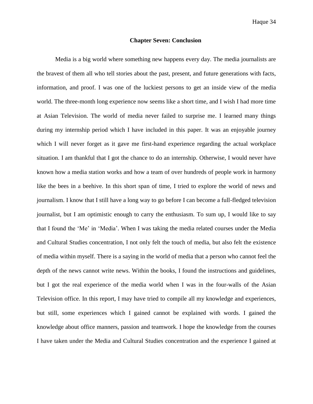#### **Chapter Seven: Conclusion**

Media is a big world where something new happens every day. The media journalists are the bravest of them all who tell stories about the past, present, and future generations with facts, information, and proof. I was one of the luckiest persons to get an inside view of the media world. The three-month long experience now seems like a short time, and I wish I had more time at Asian Television. The world of media never failed to surprise me. I learned many things during my internship period which I have included in this paper. It was an enjoyable journey which I will never forget as it gave me first-hand experience regarding the actual workplace situation. I am thankful that I got the chance to do an internship. Otherwise, I would never have known how a media station works and how a team of over hundreds of people work in harmony like the bees in a beehive. In this short span of time, I tried to explore the world of news and journalism. I know that I still have a long way to go before I can become a full-fledged television journalist, but I am optimistic enough to carry the enthusiasm. To sum up, I would like to say that I found the "Me" in "Media". When I was taking the media related courses under the Media and Cultural Studies concentration, I not only felt the touch of media, but also felt the existence of media within myself. There is a saying in the world of media that a person who cannot feel the depth of the news cannot write news. Within the books, I found the instructions and guidelines, but I got the real experience of the media world when I was in the four-walls of the Asian Television office. In this report, I may have tried to compile all my knowledge and experiences, but still, some experiences which I gained cannot be explained with words. I gained the knowledge about office manners, passion and teamwork. I hope the knowledge from the courses I have taken under the Media and Cultural Studies concentration and the experience I gained at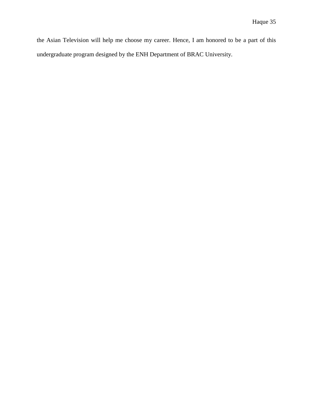the Asian Television will help me choose my career. Hence, I am honored to be a part of this undergraduate program designed by the ENH Department of BRAC University.